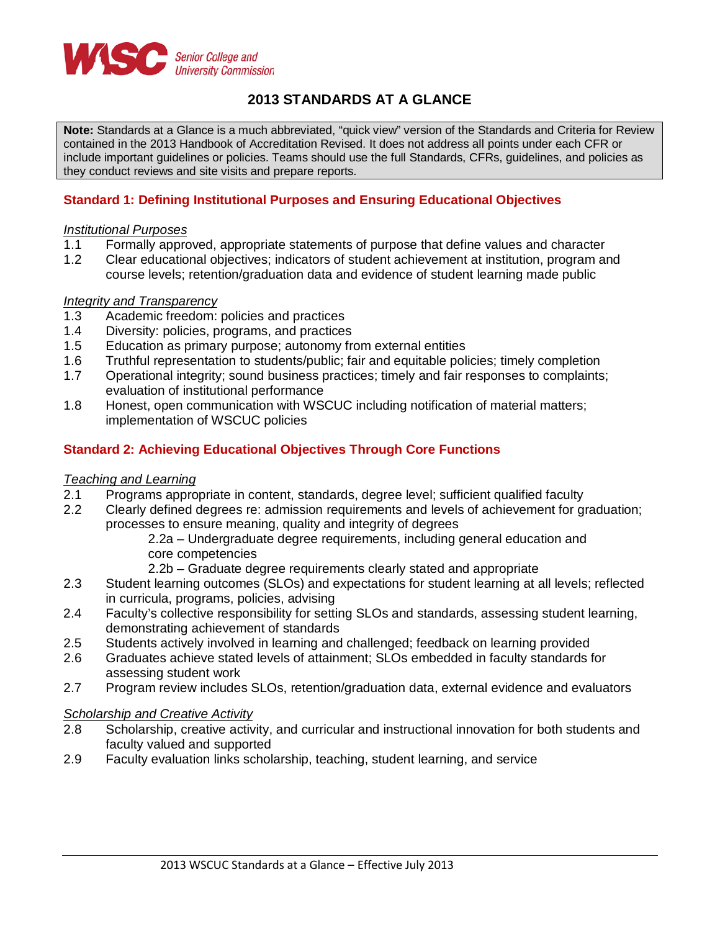

# **2013 STANDARDS AT A GLANCE**

**Note:** Standards at a Glance is a much abbreviated, "quick view" version of the Standards and Criteria for Review contained in the 2013 Handbook of Accreditation Revised. It does not address all points under each CFR or include important guidelines or policies. Teams should use the full Standards, CFRs, guidelines, and policies as they conduct reviews and site visits and prepare reports.

# **Standard 1: Defining Institutional Purposes and Ensuring Educational Objectives**

### *Institutional Purposes*

- 1.1 Formally approved, appropriate statements of purpose that define values and character
- 1.2 Clear educational objectives; indicators of student achievement at institution, program and course levels; retention/graduation data and evidence of student learning made public

### *Integrity and Transparency*

- 1.3 Academic freedom: policies and practices<br>1.4 Diversity: policies, programs, and practices
- 1.4 Diversity: policies, programs, and practices<br>1.5 Education as primary purpose: autonomy free
- Education as primary purpose; autonomy from external entities
- 
- 1.6 Truthful representation to students/public; fair and equitable policies; timely completion<br>1.7 Operational integrity: sound business practices: timely and fair responses to complaints Operational integrity; sound business practices; timely and fair responses to complaints; evaluation of institutional performance
- 1.8 Honest, open communication with WSCUC including notification of material matters; implementation of WSCUC policies

## **Standard 2: Achieving Educational Objectives Through Core Functions**

### *Teaching and Learning*

- 2.1 Programs appropriate in content, standards, degree level; sufficient qualified faculty
- 2.2 Clearly defined degrees re: admission requirements and levels of achievement for graduation; processes to ensure meaning, quality and integrity of degrees
	- 2.2a Undergraduate degree requirements, including general education and core competencies
	- 2.2b Graduate degree requirements clearly stated and appropriate
- 2.3 Student learning outcomes (SLOs) and expectations for student learning at all levels; reflected in curricula, programs, policies, advising
- 2.4 Faculty's collective responsibility for setting SLOs and standards, assessing student learning, demonstrating achievement of standards
- 2.5 Students actively involved in learning and challenged; feedback on learning provided
- 2.6 Graduates achieve stated levels of attainment; SLOs embedded in faculty standards for assessing student work
- 2.7 Program review includes SLOs, retention/graduation data, external evidence and evaluators

### *Scholarship and Creative Activity*

- 2.8 Scholarship, creative activity, and curricular and instructional innovation for both students and faculty valued and supported
- 2.9 Faculty evaluation links scholarship, teaching, student learning, and service